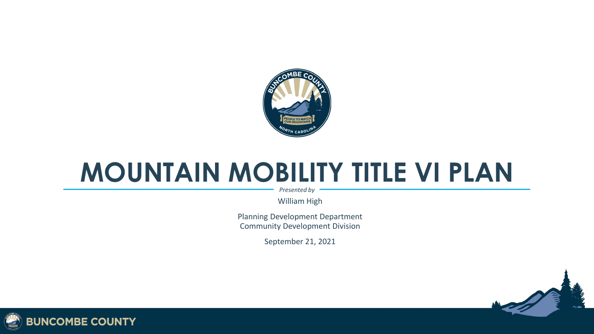

#### **MOUNTAIN MOBILITY TITLE VI PLAN**

*Presented by*

William High

Planning Development Department Community Development Division

September 21, 2021



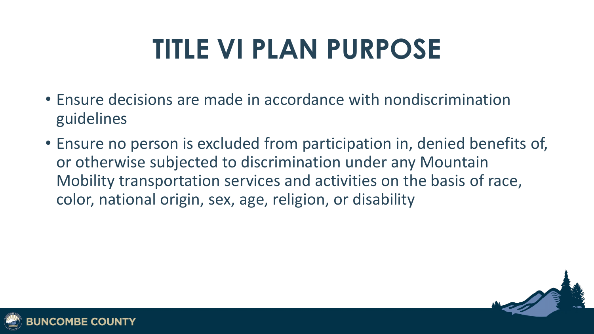# **TITLE VI PLAN PURPOSE**

- Ensure decisions are made in accordance with nondiscrimination guidelines
- Ensure no person is excluded from participation in, denied benefits of, or otherwise subjected to discrimination under any Mountain Mobility transportation services and activities on the basis of race, color, national origin, sex, age, religion, or disability



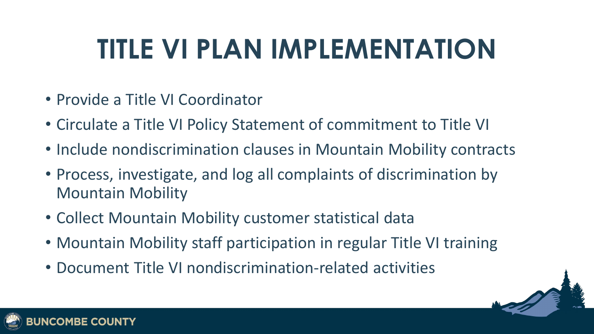### **TITLE VI PLAN IMPLEMENTATION**

- Provide a Title VI Coordinator
- Circulate a Title VI Policy Statement of commitment to Title VI
- Include nondiscrimination clauses in Mountain Mobility contracts
- Process, investigate, and log all complaints of discrimination by Mountain Mobility
- Collect Mountain Mobility customer statistical data
- Mountain Mobility staff participation in regular Title VI training
- Document Title VI nondiscrimination-related activities



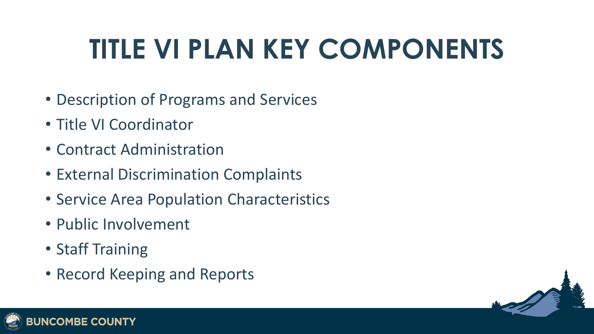# **TITLE VI PLAN KEY COMPONENTS**

- Description of Programs and Services
- Title VI Coordinator
- Contract Administration
- External Discrimination Complaints
- Service Area Population Characteristics
- Public Involvement
- Staff Training
- Record Keeping and Reports